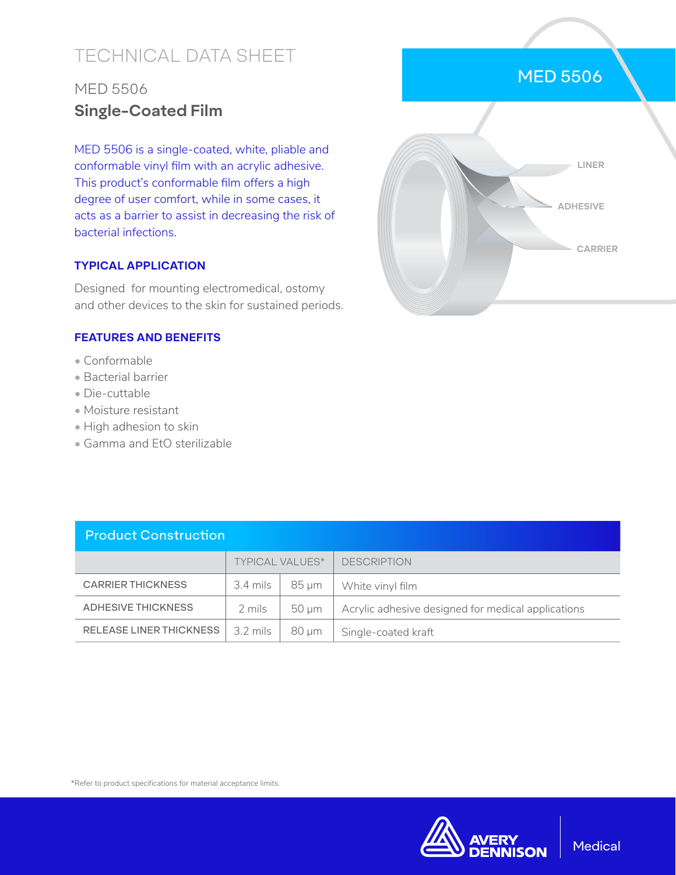# TECHNICAL DATA SHEET

## MED 5506 **Single-Coated Film**

MED 5506 is a single-coated, white, pliable and conformable vinyl film with an acrylic adhesive. This product's conformable film offers a high degree of user comfort, while in some cases, it acts as a barrier to assist in decreasing the risk of bacterial infections.

### **TYPICAL APPLICATION**

Designed for mounting electromedical, ostomy and other devices to the skin for sustained periods.

#### **FEATURES AND BENEFITS**

- Conformable
- Bacterial barrier
- Die-cuttable
- Moisture resistant
- High adhesion to skin
- Gamma and EtO sterilizable

| <b>Product Construction</b>    |                        |            |                                                    |  |  |
|--------------------------------|------------------------|------------|----------------------------------------------------|--|--|
|                                | <b>TYPICAL VALUES*</b> |            | <b>DESCRIPTION</b>                                 |  |  |
| <b>CARRIER THICKNESS</b>       | 3.4 mils               | 85 um      | White vinyl film                                   |  |  |
| <b>ADHESIVE THICKNESS</b>      | 2 mils                 | 50 um      | Acrylic adhesive designed for medical applications |  |  |
| <b>RELEASE LINER THICKNESS</b> | 3.2 mils               | $80 \mu m$ | Single-coated kraft                                |  |  |

#### \*Refer to product specifications for material acceptance limits.



## MED 5506